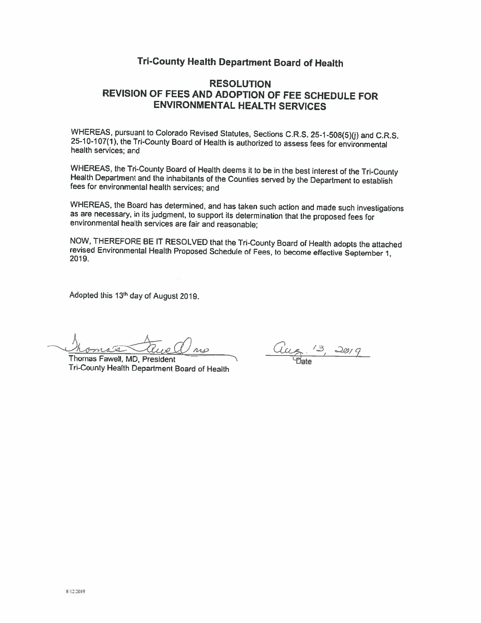# Tri-County Health Department Board of Health

# **RESOLUTION** REVISION OF FEES AND ADOPTION OF FEE SCHEDULE FOR **ENVIRONMENTAL HEALTH SERVICES**

WHEREAS, pursuant to Colorado Revised Statutes, Sections C.R.S. 25-1-508(5)(j) and C.R.S. 25-10-107(1), the Tri-County Board of Health is authorized to assess fees for environmental health services; and

WHEREAS, the Tri-County Board of Health deems it to be in the best interest of the Tri-County Health Department and the inhabitants of the Counties served by the Department to establish fees for environmental health services; and

WHEREAS, the Board has determined, and has taken such action and made such investigations as are necessary, in its judgment, to support its determination that the proposed fees for environmental health services are fair and reasonable;

NOW, THEREFORE BE IT RESOLVED that the Tri-County Board of Health adopts the attached revised Environmental Health Proposed Schedule of Fees, to become effective September 1, 2019.

Adopted this 13th day of August 2019.

 $AAB$ 

Thomas Fawell, MD, President Tri-County Health Department Board of Health

Đate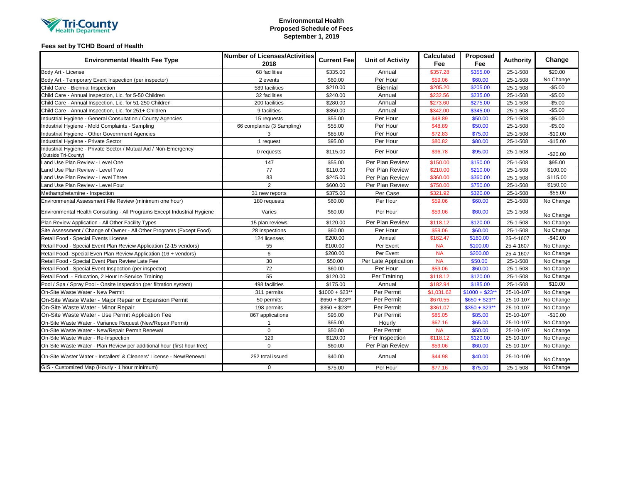

## **Environmental Health Proposed Schedule of Fees September 1, 2019**

# **Fees set by TCHD Board of Health**

| <b>Environmental Health Fee Type</b>                                                    | <b>Number of Licenses/Activities</b><br>2018 | <b>Current Fee</b> | <b>Unit of Activity</b> | <b>Calculated</b><br>Fee | Proposed<br>Fee | <b>Authority</b> | Change    |
|-----------------------------------------------------------------------------------------|----------------------------------------------|--------------------|-------------------------|--------------------------|-----------------|------------------|-----------|
| Body Art - License                                                                      | 68 facilities                                | \$335.00           | Annual                  | \$357.28                 | \$355.00        | 25-1-508         | \$20.00   |
| Body Art - Temporary Event Inspection (per inspector)                                   | 2 events                                     | \$60.00            | Per Hour                | \$59.06                  | \$60.00         | 25-1-508         | No Change |
| Child Care - Biennial Inspection                                                        | 589 facilities                               | \$210.00           | Biennial                | \$205.20                 | \$205.00        | 25-1-508         | $-$5.00$  |
| Child Care - Annual Inspection, Lic. for 5-50 Children                                  | 32 facilities                                | \$240.00           | Annual                  | \$232.56                 | \$235.00        | 25-1-508         | $-$5.00$  |
| Child Care - Annual Inspection, Lic. for 51-250 Children                                | 200 facilities                               | \$280.00           | Annual                  | \$273.60                 | \$275.00        | 25-1-508         | $-$5.00$  |
| Child Care - Annual Inspection, Lic. for 251+ Children                                  | 9 facilities                                 | \$350.00           | Annual                  | \$342.00                 | \$345.00        | 25-1-508         | $-$5.00$  |
| Industrial Hygiene - General Consultation / County Agencies                             | 15 requests                                  | \$55.00            | Per Hour                | \$48.89                  | \$50.00         | 25-1-508         | $-$5.00$  |
| Industrial Hygiene - Mold Complaints - Sampling                                         | 66 complaints (3 Sampling)                   | \$55.00            | Per Hour                | \$48.89                  | \$50.00         | 25-1-508         | $-$5.00$  |
| Industrial Hygiene - Other Government Agencies                                          | 3                                            | \$85.00            | Per Hour                | \$72.83                  | \$75.00         | 25-1-508         | $-$10.00$ |
| Industrial Hygiene - Private Sector                                                     | 1 request                                    | \$95.00            | Per Hour                | \$80.82                  | \$80.00         | 25-1-508         | $-$15.00$ |
| Industrial Hygiene - Private Sector / Mutual Aid / Non-Emergency<br>Outside Tri-County) | 0 requests                                   | \$115.00           | Per Hour                | \$96.78                  | \$95.00         | 25-1-508         | $-$20.00$ |
| and Use Plan Review - Level One                                                         | 147                                          | \$55.00            | Per Plan Review         | \$150.00                 | \$150.00        | 25-1-508         | \$95.00   |
| and Use Plan Review - Level Two                                                         | 77                                           | \$110.00           | Per Plan Review         | \$210.00                 | \$210.00        | 25-1-508         | \$100.00  |
| and Use Plan Review - Level Three                                                       | 83                                           | \$245.00           | Per Plan Review         | \$360.00                 | \$360.00        | 25-1-508         | \$115.00  |
| and Use Plan Review - Level Four                                                        | $\overline{2}$                               | \$600.00           | Per Plan Review         | \$750.00                 | \$750.00        | 25-1-508         | \$150.00  |
| Methamphetamine - Inspection                                                            | 31 new reports                               | \$375.00           | Per Case                | \$321.92                 | \$320.00        | 25-1-508         | $-$55.00$ |
| Environmental Assessment File Review (minimum one hour)                                 | 180 requests                                 | \$60.00            | Per Hour                | \$59.06                  | \$60.00         | 25-1-508         | No Change |
| Environmental Health Consulting - All Programs Except Industrial Hygiene                | Varies                                       | \$60.00            | Per Hour                | \$59.06                  | \$60.00         | 25-1-508         | No Change |
| Plan Review Application - All Other Facility Types                                      | 15 plan reviews                              | \$120.00           | Per Plan Review         | \$118.12                 | \$120.00        | 25-1-508         | No Change |
| Site Assessment / Change of Owner - All Other Programs (Except Food)                    | 28 inspections                               | \$60.00            | Per Hour                | \$59.06                  | \$60.00         | 25-1-508         | No Change |
| Retail Food - Special Events License                                                    | 124 licenses                                 | \$200.00           | Annual                  | \$162.47                 | \$160.00        | 25-4-1607        | $-$40.00$ |
| Retail Food - Special Event Plan Review Application (2-15 vendors)                      | 55                                           | \$100.00           | Per Event               | <b>NA</b>                | \$100.00        | 25-4-1607        | No Change |
| Retail Food- Special Even Plan Review Application (16 + vendors)                        | 6                                            | \$200.00           | Per Event               | <b>NA</b>                | \$200.00        | 25-4-1607        | No Change |
| Retail Food - Special Event Plan Review Late Fee                                        | 30                                           | \$50.00            | Per Late Application    | <b>NA</b>                | \$50.00         | 25-1-508         | No Change |
| Retail Food - Special Event Inspection (per inspector)                                  | 72                                           | \$60.00            | Per Hour                | \$59.06                  | \$60.00         | 25-1-508         | No Change |
| Retail Food - Education, 2 Hour In-Service Training                                     | 55                                           | \$120.00           | Per Training            | \$118.12                 | \$120.00        | 25-1-508         | No Change |
| Pool / Spa / Spray Pool - Onsite Inspection (per filtration system)                     | 498 facilities                               | \$175.00           | Annual                  | \$182.94                 | \$185.00        | 25-1-508         | \$10.00   |
| On-Site Waste Water - New Permit                                                        | 311 permits                                  | $$1000 + $23**$    | Per Permit              | \$1,031.62               | $$1000 + $23$ * | 25-10-107        | No Change |
| On-Site Waste Water - Major Repair or Expansion Permit                                  | 50 permits                                   | $$650 + $23**$     | Per Permit              | \$670.55                 | $$650 + $23**$  | 25-10-107        | No Change |
| On-Site Waste Water - Minor Repair                                                      | 198 permits                                  | $$350 + $23**$     | Per Permit              | \$361.07                 | $$350 + $23**$  | 25-10-107        | No Change |
| On-Site Waste Water - Use Permit Application Fee                                        | 867 applications                             | \$95.00            | Per Permit              | \$85.05                  | \$85.00         | 25-10-107        | $-$10.00$ |
| On-Site Waste Water - Variance Request (New/Repair Permit)                              |                                              | \$65.00            | Hourly                  | \$67.16                  | \$65.00         | 25-10-107        | No Change |
| On-Site Waste Water - New/Repair Permit Renewal                                         | $\mathbf 0$                                  | \$50.00            | Per Permit              | <b>NA</b>                | \$50.00         | 25-10-107        | No Change |
| On-Site Waste Water - Re-Inspection                                                     | 129                                          | \$120.00           | Per Inspection          | \$118.12                 | \$120.00        | 25-10-107        | No Change |
| On-Site Waste Water - Plan Review per additional hour (first hour free)                 | $\Omega$                                     | \$60.00            | Per Plan Review         | \$59.06                  | \$60.00         | 25-10-107        | No Change |
| On-Site Waster Water - Installers' & Cleaners' License - New/Renewal                    | 252 total issued                             | \$40.00            | Annual                  | \$44.98                  | \$40.00         | 25-10-109        | No Change |
| GIS - Customized Map (Hourly - 1 hour minimum)                                          | $\mathbf 0$                                  | \$75.00            | Per Hour                | \$77.16                  | \$75.00         | 25-1-508         | No Change |